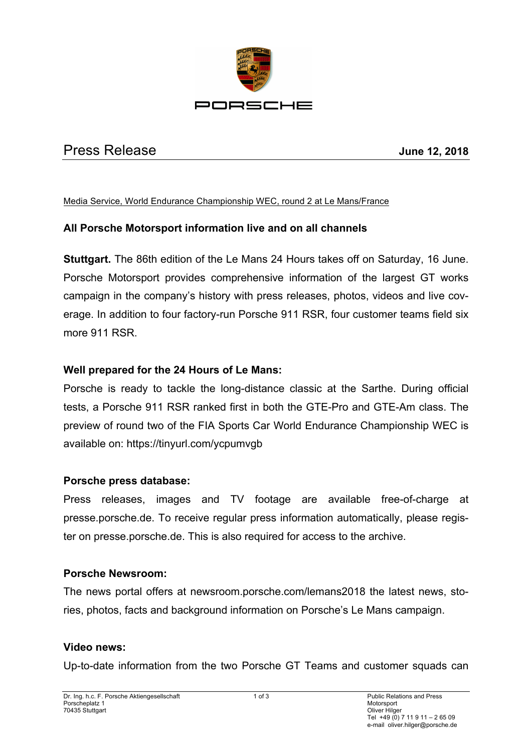

# Press Release **June 12, 2018**

#### Media Service, World Endurance Championship WEC, round 2 at Le Mans/France

# **All Porsche Motorsport information live and on all channels**

**Stuttgart.** The 86th edition of the Le Mans 24 Hours takes off on Saturday, 16 June. Porsche Motorsport provides comprehensive information of the largest GT works campaign in the company's history with press releases, photos, videos and live coverage. In addition to four factory-run Porsche 911 RSR, four customer teams field six more 911 RSR.

# **Well prepared for the 24 Hours of Le Mans:**

Porsche is ready to tackle the long-distance classic at the Sarthe. During official tests, a Porsche 911 RSR ranked first in both the GTE-Pro and GTE-Am class. The preview of round two of the FIA Sports Car World Endurance Championship WEC is available on: https://tinyurl.com/ycpumvgb

# **Porsche press database:**

Press releases, images and TV footage are available free-of-charge at presse.porsche.de. To receive regular press information automatically, please register on presse.porsche.de. This is also required for access to the archive.

# **Porsche Newsroom:**

The news portal offers at newsroom.porsche.com/lemans2018 the latest news, stories, photos, facts and background information on Porsche's Le Mans campaign.

#### **Video news:**

Up-to-date information from the two Porsche GT Teams and customer squads can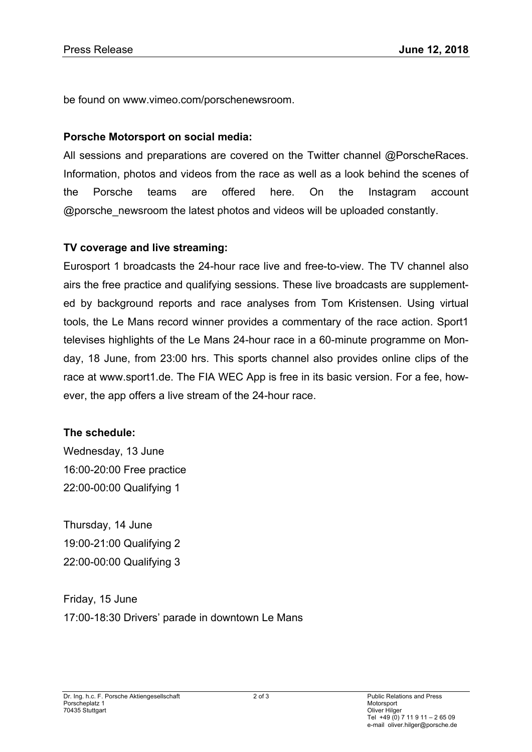be found on www.vimeo.com/porschenewsroom.

#### **Porsche Motorsport on social media:**

All sessions and preparations are covered on the Twitter channel @PorscheRaces. Information, photos and videos from the race as well as a look behind the scenes of the Porsche teams are offered here. On the Instagram account @porsche\_newsroom the latest photos and videos will be uploaded constantly.

#### **TV coverage and live streaming:**

Eurosport 1 broadcasts the 24-hour race live and free-to-view. The TV channel also airs the free practice and qualifying sessions. These live broadcasts are supplemented by background reports and race analyses from Tom Kristensen. Using virtual tools, the Le Mans record winner provides a commentary of the race action. Sport1 televises highlights of the Le Mans 24-hour race in a 60-minute programme on Monday, 18 June, from 23:00 hrs. This sports channel also provides online clips of the race at www.sport1.de. The FIA WEC App is free in its basic version. For a fee, however, the app offers a live stream of the 24-hour race.

#### **The schedule:**

Wednesday, 13 June 16:00-20:00 Free practice 22:00-00:00 Qualifying 1

Thursday, 14 June 19:00-21:00 Qualifying 2 22:00-00:00 Qualifying 3

Friday, 15 June 17:00-18:30 Drivers' parade in downtown Le Mans